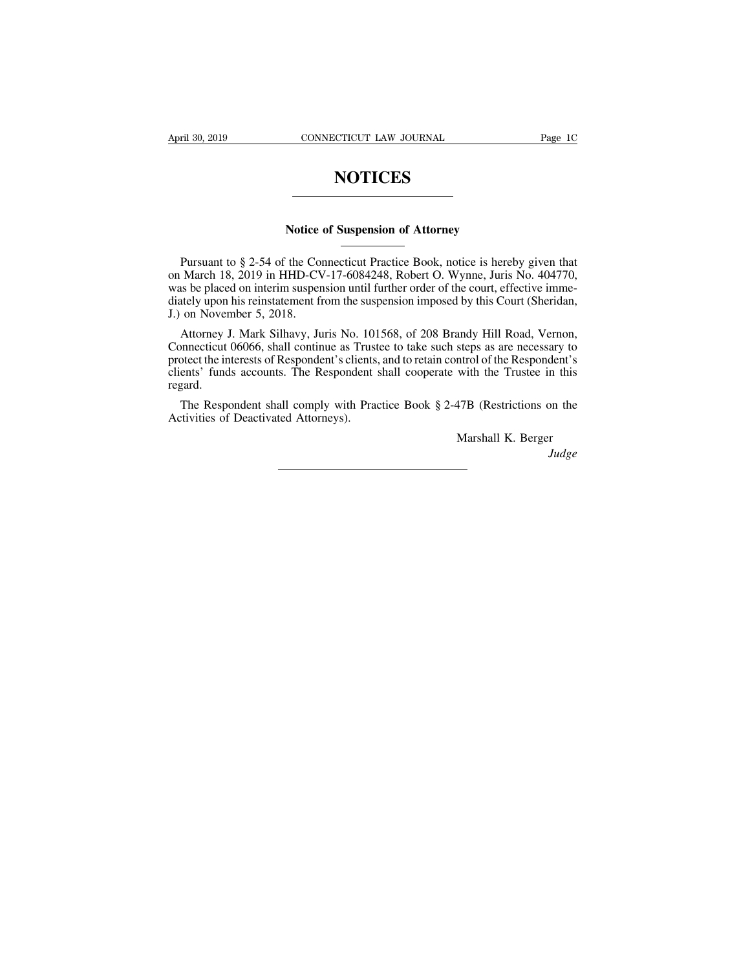# **NOTICES**

# **NOTICES**<br>
Notice of Suspension of Attorney

Notice of Suspension of Attorney<br>
Tursuant to § 2-54 of the Connecticut Practice Book, notice is hereby given that<br>
on March 18, 2019 in HHD-CV-17-6084248, Robert O. Wynne, Juris No. 404770,<br>
was be placed on interim suspe Notice of Suspension of Attorney<br>
Nursuant to § 2-54 of the Connecticut Practice Book, notice is hereby given that<br>
on March 18, 2019 in HHD-CV-17-6084248, Robert O. Wynne, Juris No. 404770,<br>
was be placed on interim suspe **Notice of Suspension of Attorney**<br>
Pursuant to § 2-54 of the Connecticut Practice Book, notice is hereby given that<br>
on March 18, 2019 in HHD-CV-17-6084248, Robert O. Wynne, Juris No. 404770,<br>
was be placed on interim sus Notice of Suspension of Attorney<br>
Mursuant to § 2-54 of the Connecticut Practice Book, notice is hereby given that<br>
on March 18, 2019 in HHD-CV-17-6084248, Robert O. Wynne, Juris No. 404770,<br>
was be placed on interim suspe Notice<br>
Pursuant to § 2-54 of the Cor<br>
on March 18, 2019 in HHD-CV<br>
was be placed on interim suspen<br>
diately upon his reinstatement fr<br>
J.) on November 5, 2018.<br>
Attorney J. Mark Silhavy, Ju<br>
Connecticut 06066, shall conti Pursuant to § 2-54 of the Connecticut Practice Book, notice is hereby given that March 18, 2019 in HHD-CV-17-6084248, Robert O. Wynne, Juris No. 404770, as be placed on interim suspension until further order of the court, Pursuant to § 2-54 of the Connecticut Practice Book, notice is hereby given that<br>on March 18, 2019 in HHD-CV-17-6084248, Robert O. Wynne, Juris No. 404770,<br>was be placed on interim suspension until further order of the cou

on March 18, 2019 in HHD-CV-17-6084248, Robert O. Wynne, Juris No. 404770, was be placed on interim suspension until further order of the court, effective immediately upon his reinstatement from the suspension imposed by t was be placed on interim suspension until further order of the court, effective immediately upon his reinstatement from the suspension imposed by this Court (Sheridan, J.) on November 5, 2018.<br>
Attorney J. Mark Silhavy, Ju clients' funds accounts. The Respondent shall cooperate with the Trustee in this regard. on Tovember 5, 2010.<br>
Attorney J. Mark Silhavy, Juris No. 101568, of 208 Brandy Hill Road, Vernon,<br>
innecticut 06066, shall continue as Trustee to take such steps as are necessary to<br>
otect the interests of Respondent's cl Attorney J. Mark Silhavy, Juris No. 101<br>Connecticut 06066, shall continue as Trust<br>protect the interests of Respondent's clients.<br>clients' funds accounts. The Respondent aregard.<br>The Respondent shall comply with Praa<br>Activ Marshall K. Berger<br>Marshall K. Berger<br>Marshall K. Berger<br>Judge

*Judge*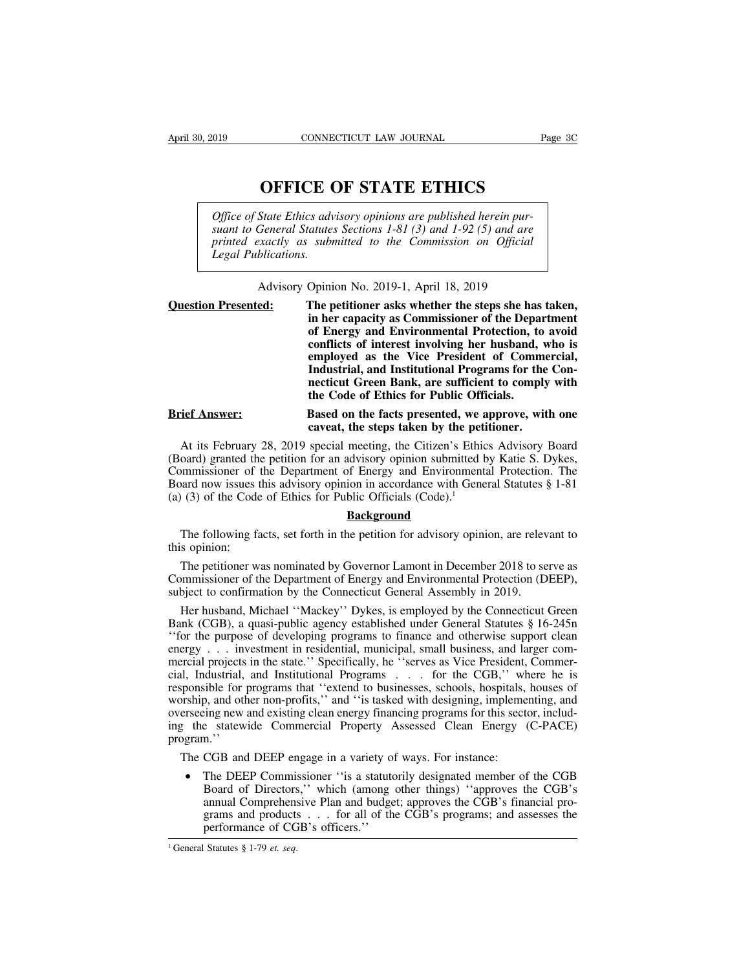**CONNECTICUT LAW JOURNAL** Page 3<br> **OFFICE OF STATE ETHICS**<br>
State Ethics advisory opinions are published herein pur-<br>
Seneral Statutes Sections 1-81 (3) and 1-92 (5) and are *CONNECTICUT LAW JOURNAL*<br> **OFFICE OF STATE ETHICS**<br> *Office of State Ethics advisory opinions are published herein pur-*<br> *Suant to General Statutes Sections 1-81 (3) and 1-92 (5) and are printed exactly as submitted to t* **SURVERT OF STATE ETHICS**<br> **Suarter of State Ethics advisory opinions are published herein pursuant to General Statutes Sections 1-81 (3) and 1-92 (5) and are<br>
printed exactly as submitted to the Commission on Official<br>
Le OFFICE OF STATE ETHICS**<br>*Pffice of State Ethics advisory opinions are published herein pursuant to General Statutes Sections 1-81 (3) and 1-92 (5) and are printed exactly as submitted to the Commission on Official Legal P* **Legal Publication COFFICE C**<br>*Diffice of State Ethics adv*<br>*suant to General Statutes*<br>*Legal Publications.* State Ethics advisory opinions are published herein pur-<br>
General Statutes Sections 1-81 (3) and 1-92 (5) and are<br>
xactly as submitted to the Commission on Official<br>
blications.<br>
Advisory Opinion No. 2019-1, April 18, 2019

| Office of State Ethics davisory opinions are published herein pur-<br>suant to General Statutes Sections 1-81 (3) and 1-92 (5) and are<br>printed exactly as submitted to the Commission on Official<br>Legal Publications.<br>Advisory Opinion No. 2019-1, April 18, 2019 |                                                                                                                                                                                                                                                                                                                                                                                                                                |
|----------------------------------------------------------------------------------------------------------------------------------------------------------------------------------------------------------------------------------------------------------------------------|--------------------------------------------------------------------------------------------------------------------------------------------------------------------------------------------------------------------------------------------------------------------------------------------------------------------------------------------------------------------------------------------------------------------------------|
| <b>Question Presented:</b>                                                                                                                                                                                                                                                 | The petitioner asks whether the steps she has taken,<br>in her capacity as Commissioner of the Department<br>of Energy and Environmental Protection, to avoid<br>conflicts of interest involving her husband, who is<br>employed as the Vice President of Commercial,<br>Industrial, and Institutional Programs for the Con-<br>necticut Green Bank, are sufficient to comply with<br>the Code of Ethics for Public Officials. |
| <b>Brief Answer:</b>                                                                                                                                                                                                                                                       | Based on the facts presented, we approve, with one<br>caveat, the steps taken by the petitioner.                                                                                                                                                                                                                                                                                                                               |
| At its February 28, 2019 special meeting, the Citizen's Ethics Advisory Board<br>(Board) granted the petition for an advisory opinion submitted by Katie S. Dykes,<br>Commissioner of the Department of Energy and Environmental Protection. The                           |                                                                                                                                                                                                                                                                                                                                                                                                                                |

muustriar, and institutional Frograms for the Connecticut Green Bank, are sufficient to comply with<br>the Code of Ethics for Public Officials.<br>Brief Answer:<br>Based on the facts presented, we approve, with one<br>caveat, the step Frief Answer:<br> **Example 18 and Section Commissioner of Ethics for Public Officials.**<br> **Example 18 and Section 19 and Section 19 and Section** 19 and the steps taken by the petitioner.<br>
At its February 28, 2019 special meeti Brief Answer:<br>
Based on the facts presented, we approve, with one<br>
caveat, the steps taken by the petitioner.<br>
At its February 28, 2019 special meeting, the Citizen's Ethics Advisory Board<br>
(Board) granted the petition fo **Brief Answer:**<br> **Based on the facts presented, we a**<br> **Caveat, the steps taken by the peti**<br>
At its February 28, 2019 special meeting, the Citizen's Ethic<br>
(Board) granted the petition for an advisory opinion submitted b<br> At its February 28, 2019 special meeting, the Crizen's Euncs Advisory Board<br>oard) granted the petition for an advisory opinion submitted by Katie S. Dykes,<br>mmissioner of the Department of Energy and Environmental Protecti (Board) granted the petition for an advisory opinion submitted by Katie S. Dykes,<br>Commissioner of the Department of Energy and Environmental Protection. The<br>Board now issues this advisory opinion in accordance with Genera

orthomores in a divisory opinion in accordance with General Statutes § 1-81<br>
(3) of the Code of Ethics for Public Officials (Code).<sup>1</sup><br> **Background**<br>
The following facts, set forth in the petition for advisory opinion, are (a) (3) of the Code of Ethics for Public Officials (Code).<sup>1</sup><br>**Background**<br>The following facts, set forth in the petition for advisory opinion, are relevant to<br>this opinion:<br>The petitioner was nominated by Governor Lamont **Subsequential State of the Connection Confirmation**<br>The petitioner was nominated by Governor Lamont in December 2018 to se<br>Commissioner of the Department of Energy and Environmental Protection (D<br>subject to confirmation b

The following facts, set forth in the petition for advisory opinion, are relevant to<br>s opinion:<br>The petitioner was nominated by Governor Lamont in December 2018 to serve as<br>pmmissioner of the Department of Energy and Envir The following facts, set forth in the petition for advisory opinion, are felevant to<br>this opinion:<br>The petitioner was nominated by Governor Lamont in December 2018 to serve as<br>Commissioner of the Department of Energy and E The petitioner was nominated by Governor Lamont in December 2018 to serve as<br>Commissioner of the Department of Energy and Environmental Protection (DEEP),<br>subject to confirmation by the Connecticut General Assembly in 2019 The petitioner was nominated by Governor Lamont in December 2018 to serve as<br>Commissioner of the Department of Energy and Environmental Protection (DEEP),<br>subject to confirmation by the Connecticut General Assembly in 2019 Commissioner of the Department of Energy and Environmental Protection (DEEP), subject to confirmation by the Connecticut General Assembly in 2019.<br>
Her husband, Michael "Mackey" Dykes, is employed by the Connecticut Green subject to confirmation by the Connecticut General Assembly in 2019.<br>
Her husband, Michael "Mackey" Dykes, is employed by the Connecticut Green<br>
Bank (CGB), a quasi-public agency established under General Statutes § 16-245 Her husband, Michael "Mackey" Dykes, is employed by the Connecticut Green<br>Bank (CGB), a quasi-public agency established under General Statutes § 16-245n<br>"for the purpose of developing programs to finance and otherwise supp Fract Mackey Dykes, is employed by the connection ofcen<br>Bank (CGB), a quasi-public agency established under General Statutes § 16-245n<br>
"for the purpose of developing programs to finance and otherwise support clean<br>
energy Bank (CGB), a quasi-public agency established under General statutes § 10-2451.<br>
"for the purpose of developing programs to finance and otherwise support clean<br>
energy . . . investment in residential, municipal, small busi For the purpose of developing programs to mance and otherwise support clean<br>energy . . . investment in residential, municipal, small business, and larger com-<br>mercial projects in the state." Specifically, he "serves as Vic program.'' I, Industrial, and Institutional Programs . . . . for the CGB," where he is<br>sponsible for programs that "extend to businesses, schools, hospitals, houses of<br>orship, and other non-profits," and "is tasked with designing, im

books, and other hon-pronts, and is tasked will designing, implementing, and<br>ting new and existing clean energy financing programs for this sector, includ-<br>existencial Commercial Property Assessed Clean Energy (C-PACE)<br>n." Figure 2013 and DEEP engage in a variety of ways. For instance:<br>
CGB and DEEP engage in a variety of ways. For instance:<br>
The DEEP Commissioner "is a statutorily designated member of the CGB<br>
Board of Directors," which (am e statewide Commercial Property Assessed Clean Energy (C-PACE)<br>n."<br>CGB and DEEP engage in a variety of ways. For instance:<br>The DEEP Commissioner "is a statutorily designated member of the CGB<br>Board of Directors," which (am CGB and DEEP engage in a variety of v<br>The DEEP Commissioner "is a statutori<br>Board of Directors," which (among oth<br>annual Comprehensive Plan and budget;<br>grams and products . . . for all of the (<br>performance of CGB's office • The DEEP Commissioner "is a statutorily designated member of the CGB Board of Directors," which (among other things) "approves the CGB's annual Comprehensive Plan and budget; approves the CGB's financial programs and pr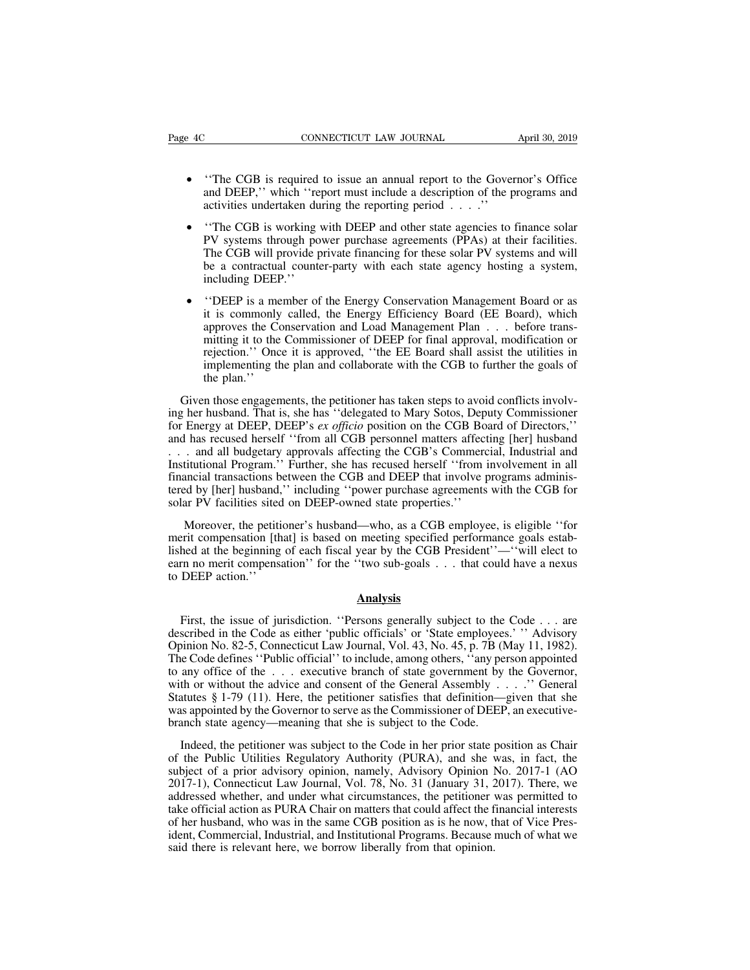- $\frac{4C}{4C}$  CONNECTICUT LAW JOURNAL April 30, 2019<br>• "The CGB is required to issue an annual report to the Governor's Office and DEEP," which "report must include a description of the programs and activities undertaken d cONNECTICUT LAW JOURNAL April 30, 2019<br>
"The CGB is required to issue an annual report to the Governor's Office<br>
and DEEP," which "report must include a description of the programs and<br>
activities undertaken during the rep
- 4C CONNECTICUT LAW JOURNAL April 30, 2019<br>
 "The CGB is required to issue an annual report to the Governor's Office<br>
and DEEP," which "report must include a description of the programs and<br>
activities undertaken during "The CGB is required to issue an annual report to the Governor's Office<br>and DEEP," which "report must include a description of the programs and<br>activities undertaken during the reporting period . . . ."<br>"The CGB is working "The CGB is required to issue an annual report to the Governor's Office and DEEP," which "report must include a description of the programs and activities undertaken during the reporting period . . . ."<br>"The CGB is working "The CGB is required to issue an annual report to the Governor's Office<br>and DEEP," which "report must include a description of the programs and<br>activities undertaken during the reporting period . . . ."<br>"The CGB is workin including DEEP, which "report must include a description of the programs and<br>activities undertaken during the reporting period . . . ."<br>• "The CGB is working with DEEP and other state agencies to finance solar<br>PV systems t The CGB is working with DEEP and other state agencies to finance solar<br>PV systems through power purchase agreements (PPAs) at their facilities.<br>The CGB will provide private financing for these solar PV systems and will<br>be
- PV systems through power purchase agreements (PPAs) at their facilities.<br>The CGB will provide private financing for these solar PV systems and will<br>be a contractual counter-party with each state agency hosting a system,<br>in The CGB will provide private financing for these solar PV systems and will<br>be a contractual counter-party with each state agency hosting a system,<br>including DEEP."<br>"DEEP is a member of the Energy Conservation Management Bo be a contractual counter-party with each state agency hosting a system,<br>including DEEP.''<br>
"DEEP is a member of the Energy Conservation Management Board or as<br>
it is commonly called, the Energy Efficiency Board (EE Board), including DEEP."<br>
"DEEP is a member of the Energy Conservation Management Board or as<br>
it is commonly called, the Energy Efficiency Board (EE Board), which<br>
approves the Conservation and Load Management Plan  $\ldots$  before "DEEP is a mem<br>it is commonly comproves the Con<br>mitting it to the C<br>rejection." Once<br>implementing the<br>the plan."<br>n those engagement It is commonly called, the Energy Efficiency Board (EE Board), which approves the Conservation and Load Management Plan  $\ldots$  before transmitting it to the Commissioner of DEEP for final approval, modification or rejectio approves the Conservation and Load Management Plan . . . before transmitting it to the Commissioner of DEEP for final approval, modification or rejection." Once it is approved, "the EE Board shall assist the utilities in i

mitting it to the Commissioner of DEEP for final approval, modification or<br>rejection." Once it is approved, "the EE Board shall assist the utilities in<br>implementing the plan and collaborate with the CGB to further the goal rejection." Once it is approved, "the EE Board shall assist the utilities in<br>implementing the plan and collaborate with the CGB to further the goals of<br>the plan."<br>Given those engagements, the petitioner has taken steps to Implementing the plan and collaborate with the CGB to turther the goals of<br>the plan."<br>Given those engagements, the petitioner has taken steps to avoid conflicts involv-<br>ing her husband. That is, she has "delegated to Mary the plan.''<br>Given those engagements, the petitioner has taken steps to avoid conflicts involv-<br>ing her husband. That is, she has "delegated to Mary Sotos, Deputy Commissioner<br>for Energy at DEEP, DEEP's *ex officio* positio Given those engagements, the petitioner has taken steps to avoid conflicts involving her husband. That is, she has "delegated to Mary Sotos, Deputy Commissioner for Energy at DEEP, DEEP's *ex officio* position on the CGB B The music engagements, the perturble has taken steps to avoid conflicts invor-<br>ing her husband. That is, she has "delegated to Mary Sotos, Deputy Commissioner<br>for Energy at DEEP, DEEP's *ex officio* position on the CGB Boa In this is, she has detegated to wary 3008, Depution for Energy at DEEP, DEEP's *ex officio* position on the CGB Board and has recused herself "from all CGB personnel matters affecting ... and all budgetary approvals affec I has recused herself "from all CGB personnel matters affecting [her] husband<br>
. and all budgetary approvals affecting the CGB's Commercial, Industrial and<br>
titutional Program." Further, she has recused herself "from invol ... and all budgetary approvals affecting the CGB's Commercial, Industrial and<br>Institutional Program.'' Further, she has recused herself "from involvement in all<br>financial transactions between the CGB and DEEP that involve

Institutional Program." Further, she has recused herself "from involvement in all<br>financial transactions between the CGB and DEEP that involve programs adminis-<br>tered by [her] husband," including "power purchase agreements tinancial transactions between the CGB and DEEP that involve programs administered by [her] husband," including "power purchase agreements with the CGB for solar PV facilities sited on DEEP-owned state properties."<br>Moreove tered by [her] husband," including "power purchase agreements with the CGB for solar PV facilities sited on DEEP-owned state properties."<br>Moreover, the petitioner's husband—who, as a CGB employee, is eligible "for merit co First, the issue of jurisdiction. ''Persons generally subject to the Code . . . are<br>SEEP action.''<br>First, the issue of jurisdiction. ''Persons generally subject to the Code . . . are<br>SEEP action.''<br>First, the issue of juri

# **Analysis**

lished at the beginning of each fiscal year by the CGB President''—"will elect to<br>earn no merit compensation'' for the "two sub-goals . . . that could have a nexus<br>to DEEP action.''<br>**Analysis**<br>First, the issue of jurisdict earn no merit compensation" for the "two sub-goals . . . that could have a nexus<br>to DEEP action."<br>**Analysis**<br>First, the issue of jurisdiction. "Persons generally subject to the Code . . . are<br>described in the Code as eithe **Analysis**<br>
First, the issue of jurisdiction. "Persons generally subject to the Code ... are<br>
described in the Code as either 'public officials' or 'State employees.' " Advisory<br>
Opinion No. 82-5, Connecticut Law Journal, **Analysis**<br>First, the issue of jurisdiction. "Persons generally subject to the Code . . . are<br>described in the Code as either 'public officials' or 'State employees.' " Advisory<br>Opinion No. 82-5, Connecticut Law Journal, **Analysis**<br>First, the issue of jurisdiction. "Persons generally subject to the Code . . . are<br>described in the Code as either 'public officials' or 'State employees.' " Advisory<br>Opinion No. 82-5, Connecticut Law Journal, V First, the issue of jurisdiction. "Persons generally subject to the Code . . . are described in the Code as either 'public officials' or 'State employees.' " Advisory Opinion No. 82-5, Connecticut Law Journal, Vol. 43, No First, the issue of jurisdiction. The Costs generally subject to the Code  $\ldots$  are described in the Code as either 'public officials' or 'State employees.' "Advisory Opinion No. 82-5, Connecticut Law Journal, Vol. 43, No described in the Code as childred public officials of State employees.<br>Opinion No. 82-5, Connecticut Law Journal, Vol. 43, No. 45, p. 7B (The Code defines "Public official" to include, among others, "any pe<br>to any office o Le Code detines "Public official" to include, among others, "any person appointed<br>any office of the . . . executive branch of state government by the Governor,<br>th or without the advice and consent of the General Assembly to any office of the  $\ldots$  executive branch of state government by the Governor, with or without the advice and consent of the General Assembly  $\ldots$ ." General Statutes § 1-79 (11). Here, the petitioner satisfies that def

with or without the advice and consent of the General Assembly  $\ldots$   $\ldots$  General Statutes § 1-79 (11). Here, the petitioner satisfies that definition—given that she was appointed by the Governor to serve as the Commissi Statutes § 1-79 (11). Here, the petitioner satisfies that definition—given that she<br>was appointed by the Governor to serve as the Commissioner of DEEP, an executive-<br>branch state agency—meaning that she is subject to the C was appointed by the Governor to serve as the Commissioner of DEEP, an executive-<br>branch state agency—meaning that she is subject to the Code.<br>Indeed, the petitioner was subject to the Code in her prior state position as C branch state agency—meaning that she is subject to the Code.<br>
Indeed, the petitioner was subject to the Code in her prior state position as Chair<br>
of the Public Utilities Regulatory Authority (PURA), and she was, in fact, Indeed, the petitioner was subject to the Code in her prior state position as Chair<br>of the Public Utilities Regulatory Authority (PURA), and she was, in fact, the<br>subject of a prior advisory opinion, namely, Advisory Opini indect, the petholic Was stugget to the code in her prior state position as chanced the Public Utilities Regulatory Authority (PURA), and she was, in fact, the subject of a prior advisory opinion, namely, Advisory Opinion Subject of a prior advisory pointion, namely, Advisory Opinion 1<br>2017-1), Connecticut Law Journal, Vol. 78, No. 31 (January 31, 2<br>addressed whether, and under what circumstances, the petitioner<br>take official action as PURA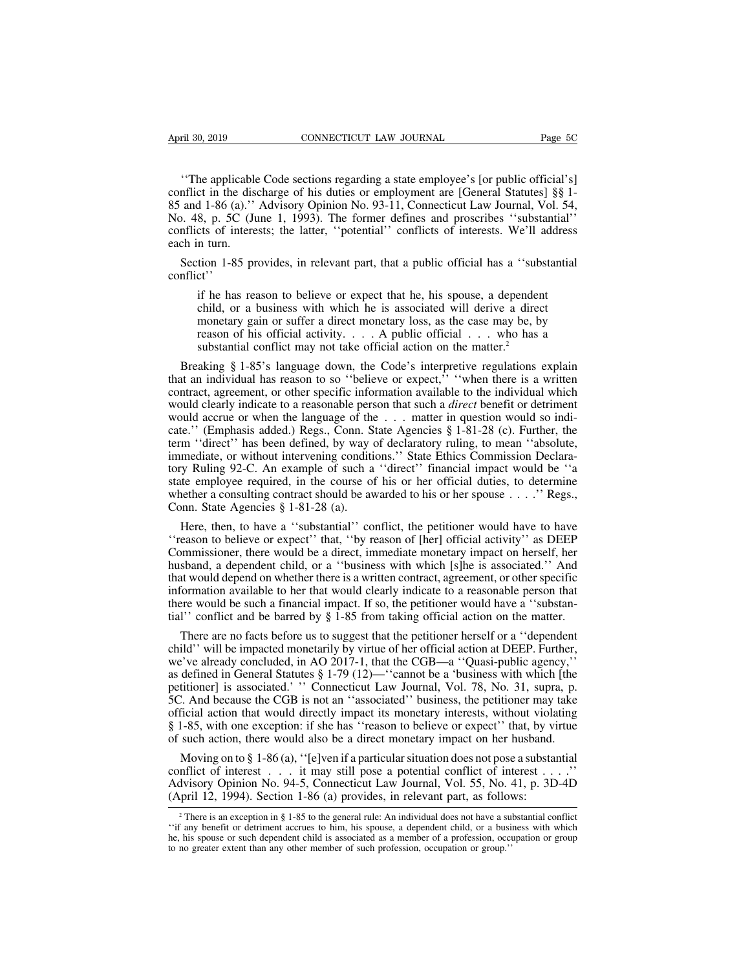<sup>ril 30, 2019</sup> CONNECTICUT LAW JOURNAL Page 5C<br>
"The applicable Code sections regarding a state employee's [or public official's]<br>
nflict in the discharge of his duties or employment are [General Statutes] §§ 1-<br>
and 1-86 conflict in the discharge of his duties or employee's (or public official's)<br>
conflict in the discharge of his duties or employment are [General Statutes] §§ 1-<br>
85 and 1-86 (a).'' Advisory Opinion No. 93-11, Connecticut L 85 April 30, 2019 CONNECTICUT LAW JOURNAL Page 5C<br>
"The applicable Code sections regarding a state employee's [or public official's]<br>
conflict in the discharge of his duties or employment are [General Statutes] §§ 1-<br>
85 a April 30, 2019 CONNECTICUT LAW JOURNAL Page 5C<br>
"The applicable Code sections regarding a state employee's [or public official's]<br>
conflict in the discharge of his duties or employment are [General Statutes] §§ 1-<br>
85 and The applicable Code sections regarding a state employee's [or public official's]<br>conflict in the discharge of his duties or employment are [General Statutes] §§ 1-<br>85 and 1-86 (a).'' Advisory Opinion No. 93-11, Connecticut "The applicable<br>conflict in the dise<br>85 and 1-86 (a)."<br>No. 48, p. 5C (Ju<br>conflicts of intere<br>each in turn.<br>Section 1-85 pr "The applicable Code sections regarding a state employee's [or public official's]<br>
nflict in the discharge of his duties or employment are [General Statutes] §§ 1-<br>
and 1-86 (a)." Advisory Opinion No. 93-11, Connecticut La <sup>2</sup> 1-00 (a). Advisory Opinion No. 25-11, Connectical Eaw Journal, Vol. 3-7, 8, p. 5C (June 1, 1993). The former defines and proscribes "substantial" cts of interests; the latter, "potential" conflicts of interests. We'll

conflict''

child, or a business with which he is associated will address<br>in turn.<br>ition 1-85 provides, in relevant part, that a public official has a "substantial<br>ct".<br>if he has reason to believe or expect that he, his spouse, a dep monetary gain or suffer a direct monetary loss, as the case may be, by reason to believe or expect that he, his spouse, a dependent child, or a business with which he is associated will derive a direct monetary gain or su is the 1-85 provides, in relevant part, that a public official has a "substantial<br>et"<br>if he has reason to believe or expect that he, his spouse, a dependent<br>child, or a business with which he is associated will derive a d Section 1-85 provides, in relevant part, that a public official has a "substantial inflict"<br>
if he has reason to believe or expect that he, his spouse, a dependent<br>
child, or a business with which he is associated will de if he has reason to believe or expect that he, his spouse, a dependent<br>child, or a business with which he is associated will derive a direct<br>monetary gain or suffer a direct monetary loss, as the case may be, by<br>reason of

contract, agreement, or other specific information available to the induction and substantial conflict may not take official action on the matter.<sup>2</sup><br>Breaking § 1-85's language down, the Code's interpretive regulations ex monetary gain or suffer a direct monetary loss, as the case may be, by<br>reason of his official activity.... A public official ... who has a<br>substantial conflict may not take official action on the matter.<sup>2</sup><br>Breaking § 1-8 reason of his official activity. . . . A public official . . . who has a substantial conflict may not take official action on the matter.<sup>2</sup><br>Breaking § 1-85's language down, the Code's interpretive regulations explain<br>tha substantial conflict may not take official action on the matter.<sup>2</sup><br>Breaking § 1-85's language down, the Code's interpretive regulations explain<br>that an individual has reason to so "believe or expect," "when there is a wri Breaking § 1-85's language down, the Code's interpretive regulations explain<br>that an individual has reason to so "believe or expect," "when there is a written<br>contract, agreement, or other specific information available t is that an individual has reason to so "believe or expect," "when there is a written contract, agreement, or other specific information available to the individual which would clearly indicate to a reasonable person that that an individual has reason to so believe of expect, when there is a written<br>contract, agreement, or other specific information available to the individual which<br>would clearly indicate to a reasonable person that such a contract, agreement, or other specific information avariable to the intrividual winch<br>would clearly indicate to a reasonable person that such a *direct* benefit or detriment<br>would accrue or when the language of the . . . would accrue or when the language of the . . . matter in question would so indicate." (Emphasis added.) Regs., Conn. State Agencies § 1-81-28 (c). Further, the term "direct" has been defined, by way of declaratory ruling, would accide of when the faiguage of the<br>cate." (Emphasis added.) Regs., Conn. S<br>term "direct" has been defined, by way (<br>immediate, or without intervening conditi<br>tory Ruling 92-C. An example of such a<br>state employee requ m "direct" has been defined, by way of declaratory ruling, to mean "absolute,<br>mediate, or without intervening conditions." State Ethics Commission Declara-<br>y Ruling 92-C. An example of such a "direct" financial impact woul immediate, or without intervening conditions." State Ethics Commission Declara-<br>tory Ruling 92-C. An example of such a "direct" financial impact would be "a<br>state employee required, in the course of his or her official dut

tory Ruling 92-C. An example of such a "direct" financial impact would be "a state employee required, in the course of his or her official duties, to determine whether a consulting contract should be awarded to his or her state employee required, in the course of his or her official duties, to determine<br>whether a consulting contract should be awarded to his or her spouse . . . .'' Regs.,<br>Conn. State Agencies § 1-81-28 (a).<br>Here, then, to ha whether a consulting contract should be awarded to his or her spouse  $\ldots$ .'' Regs.,<br>Conn. State Agencies § 1-81-28 (a).<br>Here, then, to have a "substantial" conflict, the petitioner would have to have<br>"reason to believe o Conn. State Agencies § 1-81-28 (a).<br>
Here, then, to have a "substantial" conflict, the petitioner would have to have<br>
"reason to believe or expect" that, "by reason of [her] official activity" as DEEP<br>
Commissioner, there Here, then, to have a "substantial" conflict, the petitioner would have to have "reason to believe or expect" that, "by reason of [her] official activity" as DEEP Commissioner, there would be a direct, immediate monetary The conflict and be barrel information and the periodic would have to have<br>
"reason to believe or expect" that, "by reason of [her] official activity" as DEEP<br>
Commissioner, there would be a direct, immediate monetary impa by murnissioner, there would be a direct, immediate monetary impact on herself, her sband, a dependent child, or a "business with which [s]he is associated." And at would depend on whether there is a written contract, agre husband, a dependent child, or a "business with which [s]he is associated." And<br>that would depend on whether there is a written contract, agreement, or other specific<br>information available to her that would clearly indicat

that would depend on whether there is a written contract, agreement, or other specific information available to her that would clearly indicate to a reasonable person that there would be such a financial impact. If so, th information available to her that would clearly indicate to a reasonable person that<br>there would be such a financial impact. If so, the petitioner would have a "substan-<br>tial" conflict and be barred by § 1-85 from taking there would be such a financial impact. If so, the petitioner would have a "substantial" conflict and be barred by § 1-85 from taking official action on the matter.<br>There are no facts before us to suggest that the petition tial'' conflict and be barred by § 1-85 from taking official action on the matter.<br>
There are no facts before us to suggest that the petitioner herself or a "dependent<br>
child" will be impacted monetarily by virtue of her There are no facts before us to suggest that the petitioner herself or a "dependent child" will be impacted monetarily by virtue of her official action at DEEP. Further, we've already concluded, in AO 2017-1, that the CGB Finct are no racts octore us to suggest that the petritoner hersen or a dependent<br>child'' will be impacted monetarily by virtue of her official action at DEEP. Further,<br>we've already concluded, in AO 2017-1, that the CGB child" will be impacted monetarily by virtue of her official action at DEEP. Further, we've already concluded, in AO 2017-1, that the CGB—a "Quasi-public agency," as defined in General Statutes § 1-79 (12)—"cannot be a 'b defined in General Statutes § 1-79 (12)—"cannot be a 'business with which [the titioner] is associated.' "Connecticut Law Journal, Vol. 78, No. 31, supra, p. <br>
.'. And because the CGB is not an "associated" business, the petitioner] is associated.' "Connecticut Law Journal, Vol. 78, No. 31, supra, p.<br>5C. And because the CGB is not an "associated" business, the petitioner may take<br>official action that would directly impact its monetary inte 5C. And because the CGB is not an "associated" business, the petitioner may take<br>official action that would directly impact its monetary interests, without violating<br>§ 1-85, with one exception: if she has "reason to belie

§ 1-85, with one exception: if she has "reason to believe or expect" that, by virtue of such action, there would also be a direct monetary impact on her husband.<br>Moving on to § 1-86 (a), "[e]ven if a particular situation Moving on to § 1-86 (a), "[e]ven if a particular situation does not pose a substantial<br>nflict of interest . . . it may still pose a potential conflict of interest . . . ."<br>dvisory Opinion No. 94-5, Connecticut Law Journal Moving on to  $g$  1-86 (a), "[e]ven it a particular situation does not pose a substantial<br>conflict of interest . . . it may still pose a potential conflict of interest . . . ."<br>Advisory Opinion No. 94-5, Connecticut Law Jo

conflict of interest . . . it may still pose a potential conflict of interest . . . ."<br>Advisory Opinion No. 94-5, Connecticut Law Journal, Vol. 55, No. 41, p. 3D-4D<br>(April 12, 1994). Section 1-86 (a) provides, in relevant (April 12, 1994). Section 1-86 (a) provides, in relevant part, as follows:<br>
<sup>2</sup> There is an exception in § 1-85 to the general rule: An individual does not have a substantial conflict<br>
"if any benefit or detriment accrues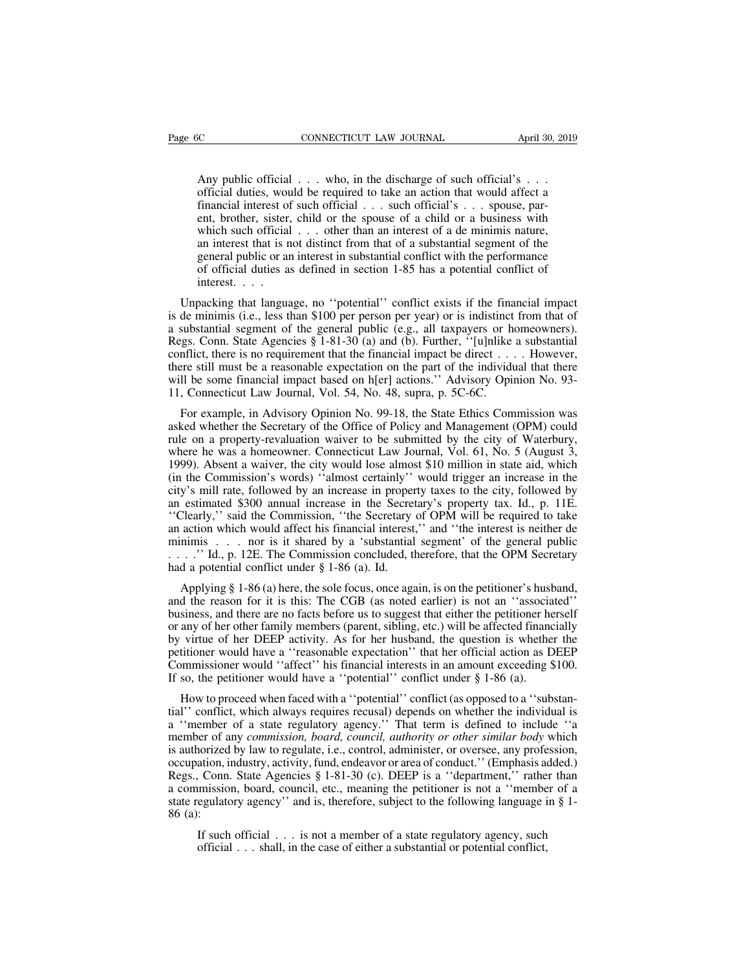CONNECTICUT LAW JOURNAL April 30, 2019<br>Any public official . . . who, in the discharge of such official's . . .<br>official duties, would be required to take an action that would affect a<br>financial interest of such official . CONNECTICUT LAW JOURNAL April 30, 2019<br>
Any public official . . . who, in the discharge of such official's . . .<br>
official duties, would be required to take an action that would affect a<br>
financial interest of such officia financial interest of such official . . . such official's . . . spouse, par-ENTERT CONNECTICUT LAW JOURNAL April 30, 2019<br>
Any public official . . . who, in the discharge of such official's . . .<br>
official duties, would be required to take an action that would affect a<br>
financial interest of such Any public official  $\dots$  who, in the discharge of such official's  $\dots$  official duties, would be required to take an action that would affect a financial interest of such official  $\dots$  such official's  $\dots$  spouse, parent, Any public official  $\dots$  who, in the discharge of such official's  $\dots$  official duties, would be required to take an action that would affect a financial interest of such official  $\dots$  such official's  $\dots$  spouse, parent, Any public official  $\dots$  who, in the discharge of such official's  $\dots$  official duties, would be required to take an action that would affect a financial interest of such official  $\dots$  such official's  $\dots$  spouse, parent, Any puone official  $\ldots$  who, in the userange of such official  $s \ldots$  official duties, would be required to take an action that would affect a financial interest of such official  $\ldots$  such official's  $\ldots$  spouse, parent official interest of<br>tinancial interest of<br>ent, brother, sister,<br>which such official<br>an interest that is n<br>general public or an<br>of official duties as<br>interest.... ent, brother, sister, child or the spouse of a child or a business with<br>which such official ... other than an interest of a de minimis nature,<br>an interest that is not distinct from that of a substantial segment of the<br>gen which such official . . . other than an interest of a de minimis nature,<br>an interest that is not distinct from that of a substantial segment of the<br>general public or an interest in substantial conflict with the performanc

an interest that is not distinct from that of a substantial segment of the general public or an interest in substantial conflict with the performance of official duties as defined in section 1-85 has a potential conflict general public or an interest in substantial conflict with the performance<br>of official duties as defined in section 1-85 has a potential conflict of<br>interest....<br>Unpacking that language, no "potential" conflict exists if t of official duties as defined in section 1-85 has a potential conflict of<br>interest....<br>Unpacking that language, no "potential" conflict exists if the financial impact<br>is de minimis (i.e., less than \$100 per person per yea interest. . . . .<br>Unpacking that language, no "potential" conflict exists if the financial impact<br>is de minimis (i.e., less than \$100 per person per year) or is indistinct from that of<br>a substantial segment of the general Unpacking that language, no "potential" conflict exists if the financial impact<br>is de minimis (i.e., less than \$100 per person per year) or is indistinct from that of<br>a substantial segment of the general public (e.g., all Unpacking that language, no "potential" conflict exists if the financial impact<br>is de minimis (i.e., less than \$100 per person per year) or is indistinct from that of<br>a substantial segment of the general public (e.g., all substantial segment of the general public (e.g., all taxpayers or homeowners).<br>ggs. Conn. State Agencies § 1-81-30 (a) and (b). Further, "[u]nlike a substantial<br>nflict, there is no requirement that the financial impact be Regs. Conn. State Agencies § 1-81-30 (a) and (b). Further, "[u]nlike a substantial conflict, there is no requirement that the financial impact be direct . . . . However, there still must be a reasonable expectation on the

conflict, there is no requirement that the financial impact be direct . . . . However, there still must be a reasonable expectation on the part of the individual that there will be some financial impact based on h[er] act there still must be a reasonable expectation on the part of the individual that there will be some financial impact based on h[er] actions." Advisory Opinion No. 93-11, Connecticut Law Journal, Vol. 54, No. 48, supra, p. 5 will be some financial impact based on h[er] actions." Advisory Opinion No. 93-<br>11, Connecticut Law Journal, Vol. 54, No. 48, supra, p. 5C-6C.<br>For example, in Advisory Opinion No. 99-18, the State Ethics Commission was<br>ask 11, Connecticut Law Journal, Vol. 54, No. 48, supra, p. 5C-6C.<br>
For example, in Advisory Opinion No. 99-18, the State Ethics Commission was<br>
asked whether the Secretary of the Office of Policy and Management (OPM) could<br>
r For example, in Advisory Opinion No. 99-18, the State Ethics Commission was asked whether the Secretary of the Office of Policy and Management (OPM) could rule on a property-revaluation waiver to be submitted by the city o To example, in Advisory Opinion No. 99-16, the state Ethics Commission was asked whether the Secretary of the Office of Policy and Management (OPM) could rule on a property-revaluation waiver to be submitted by the city of asked whelf the secretary of the Office of Folicy and Management (OFM) collid<br>
rule on a property-revaluation waiver to be submitted by the city of Waterbury,<br>
where he was a homeowner. Connecticut Law Journal, Vol. 61, No and a property-tevaluation waver to be subfinited by the city of waterbury,<br>where he was a homeowner. Connecticut Law Journal, Vol. 61, No. 5 (August 3,<br>1999). Absent a waiver, the city would lose almost \$10 million in sta where he was a holitowner. Connecticut Eaw Journal, Vol. 01, No. 9 (August 9, 1999). Absent a waiver, the city would lose almost \$10 million in state aid, which (in the Commission's words) "almost certainly" would trigger 1999). Easent a warver, the erry would lose almost 910 minion in state and, which<br>(in the Commission's words) "almost certainly" would trigger an increase in the<br>city's mill rate, followed by an increase in property taxes city's mill rate, followed by an increase in property taxes to the city, followed by<br>an estimated \$300 annual increase in the Secretary's property tax. Id., p. 11E.<br>
"Clearly," said the Commission, "the Secretary of OPM w estimated \$300 annual increase in the Secretary's property tax. Id., p. 11E.<br>Clearly," said the Commission, "the Secretary of OPM will be required to take<br>action which would affect his financial interest," and "the intere "Clearly," said the Commission, "the Secretary of OPM will be required to take<br>an action which would affect his financial interest," and "the interest is neither de<br>minimis . . . . nor is it shared by a 'substantial segme

an action which would affect his financial interest," and "the interest is neither de<br>minimis . . . . nor is it shared by a 'substantial segment' of the general public<br>...." Id., p. 12E. The Commission concluded, therefor minimis . . . nor is it shared by a 'substantial segment' of the general public . . . . . " Id., p. 12E. The Commission concluded, therefore, that the OPM Secretary had a potential conflict under § 1-86 (a). Id. Applying ...." Id., p. 12E. The Commission concluded, therefore, that the OPM Secretary<br>had a potential conflict under § 1-86 (a). Id.<br>Applying § 1-86 (a) here, the sole focus, once again, is on the petitioner's husband,<br>and the r had a potential conflict under § 1-86 (a). Id.<br>
Applying § 1-86 (a) here, the sole focus, once again, is on the petitioner's husband,<br>
and the reason for it is this: The CGB (as noted earlier) is not an "associated"<br>
busi Applying § 1-86 (a) here, the sole focus, once again, is on the petitioner's husband, and the reason for it is this: The CGB (as noted earlier) is not an "associated" business, and there are no facts before us to suggest business, and there are no facts before us to suggest that either the petitioner herself<br>or any of her other family members (parent, sibling, etc.) will be affected financially<br>by virtue of her DEEP activity. As for her hu siness, and there are no facts before us to suggest that either the petitioner herself<br>any of her other family members (parent, sibling, etc.) will be affected financially<br>virtue of her DEEP activity. As for her husband, t or any of her other family members (parent, sibling, etc.) will be affected financially<br>by virtue of her DEEP activity. As for her husband, the question is whether the<br>petitioner would have a "reasonable expectation" that

by virtue of her DEEP activity. As for her husband, the question is whether the petitioner would have a "reasonable expectation" that her official action as DEEP Commissioner would "affect" his financial interests in an am petitioner would have a "reasonable expectation" that her official action as DEEP<br>Commissioner would "affect" his financial interests in an amount exceeding \$100.<br>If so, the petitioner would have a "potential" conflict und Commissioner would "affect" his financial interests in an amount exceeding \$100.<br>If so, the petitioner would have a "potential" conflict under § 1-86 (a).<br>How to proceed when faced with a "potential" conflict (as opposed If so, the petitioner would have a "potential" conflict under § 1-86 (a).<br>
How to proceed when faced with a "potential" conflict (as opposed to a "substan-<br>
tial" conflict, which always requires recusal) depends on whethe How to proceed when faced with a "potential" conflict (as opposed to a "substantial" conflict, which always requires recusal) depends on whether the individual is a "member of a state regulatory agency." That term is defin Thow to proceed when faced with a "potential "conflict (as opposed to a "substantial" conflict, which always requires recusal) depends on whether the individual is a "member of a state regulatory agency." That term is defi and connect, which aways requires recusar) depends on whether the individual is<br>a "member of a state regulatory agency." That term is defined to include "a<br>member of any *commission, board, council, authority or other simi* a member of a<br>member of a<br>is authorized<br>occupation, in<br>Regs., Conn.<br>a commission<br>state regulate<br>86 (a):<br>If such norized by law to regulate, i.e., control, administer, or oversee, any profession, ation, industry, activity, fund, endeavor or area of conduct." (Emphasis added.) Conn. State Agencies § 1-81-30 (c). DEEP is a "department, ation, industry, activity, fund, endeavor or area of conduct." (Emphasis a<br>
conn. State Agencies § 1-81-30 (c). DEEP is a "department," rathe<br>
imission, board, council, etc., meaning the petitioner is not a "member<br>
egulat